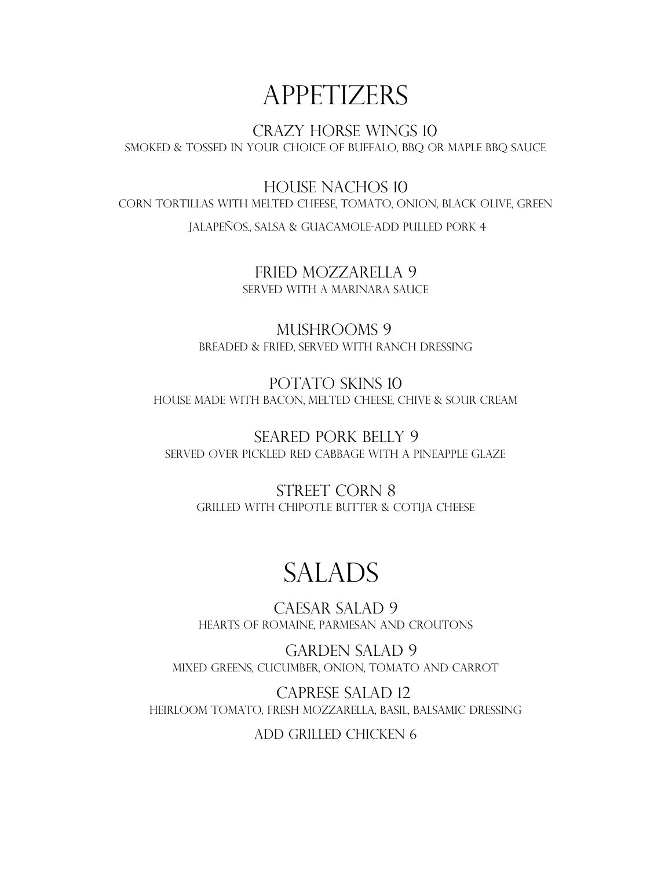## **APPETIZERS**

 CRAZY HORSE wings 10 smoked & tossed in your choice of Buffalo, BBQ or Maple BBQ sauce

House nachos 10 Corn tortillas with melted cheese, tomato, onion, black olive, green jalapeños., salsa & Guacamole-Add pulled pork 4

> Fried Mozzarella 9 served with a marinara sauce

mushrooms 9 Breaded & fried, served With ranch dressing

 potato skins 10 house made with bacon, melted cheese, chive & Sour Cream

 Seared Pork belly 9 Served over pickled red cabbage with a pineapple glaze

Street Corn 8 Grilled with chipotle butter & cotija cheese

## **SALADS**

Caesar salad 9 Hearts of romaine, parmesan and croutons

 Garden salad 9 Mixed greens, cucumber, onion, tomato and carrot

 Caprese salad 12 Heirloom tomato, fresh mozzarella, basil, balsamic dressing

Add grilled chicken 6